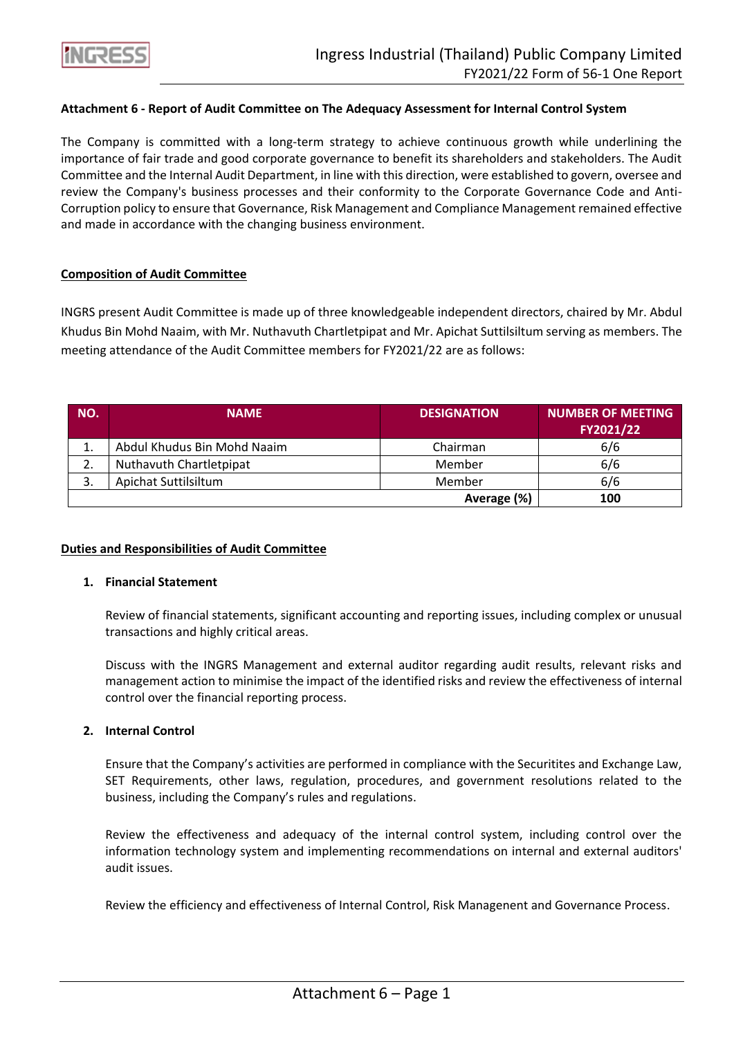

### **Attachment 6 - Report of Audit Committee on The Adequacy Assessment for Internal Control System**

The Company is committed with a long-term strategy to achieve continuous growth while underlining the importance of fair trade and good corporate governance to benefit its shareholders and stakeholders. The Audit Committee and the Internal Audit Department, in line with this direction, were established to govern, oversee and review the Company's business processes and their conformity to the Corporate Governance Code and Anti-Corruption policy to ensure that Governance, Risk Management and Compliance Management remained effective and made in accordance with the changing business environment.

#### **Composition of Audit Committee**

INGRS present Audit Committee is made up of three knowledgeable independent directors, chaired by Mr. Abdul Khudus Bin Mohd Naaim, with Mr. Nuthavuth Chartletpipat and Mr. Apichat Suttilsiltum serving as members. The meeting attendance of the Audit Committee members for FY2021/22 are as follows:

| NO. | <b>NAME</b>                 | <b>DESIGNATION</b> | <b>NUMBER OF MEETING</b><br>FY2021/22 |
|-----|-----------------------------|--------------------|---------------------------------------|
| ᆠ   | Abdul Khudus Bin Mohd Naaim | Chairman           | 6/6                                   |
| 2.  | Nuthavuth Chartletpipat     | Member             | 6/6                                   |
| 3.  | Apichat Suttilsiltum        | Member             | 6/6                                   |
|     |                             | Average (%)        | 100                                   |

#### **Duties and Responsibilities of Audit Committee**

#### **1. Financial Statement**

Review of financial statements, significant accounting and reporting issues, including complex or unusual transactions and highly critical areas.

Discuss with the INGRS Management and external auditor regarding audit results, relevant risks and management action to minimise the impact of the identified risks and review the effectiveness of internal control over the financial reporting process.

#### **2. Internal Control**

Ensure that the Company's activities are performed in compliance with the Securitites and Exchange Law, SET Requirements, other laws, regulation, procedures, and government resolutions related to the business, including the Company's rules and regulations.

Review the effectiveness and adequacy of the internal control system, including control over the information technology system and implementing recommendations on internal and external auditors' audit issues.

Review the efficiency and effectiveness of Internal Control, Risk Managenent and Governance Process.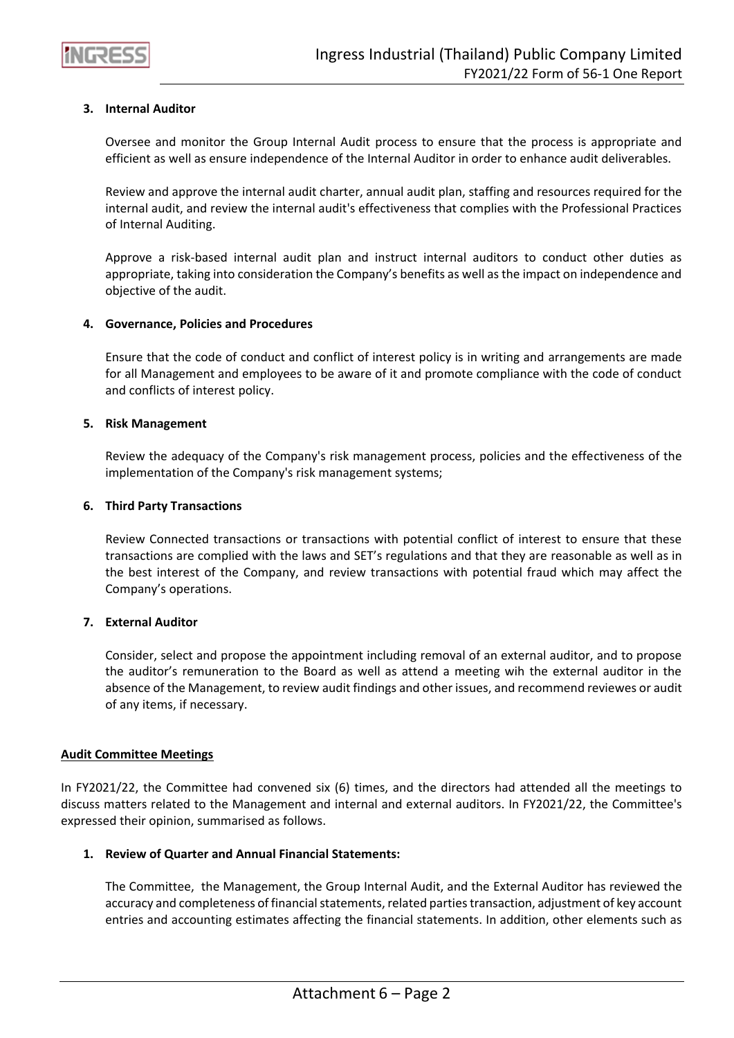

## **3. Internal Auditor**

Oversee and monitor the Group Internal Audit process to ensure that the process is appropriate and efficient as well as ensure independence of the Internal Auditor in order to enhance audit deliverables.

Review and approve the internal audit charter, annual audit plan, staffing and resources required for the internal audit, and review the internal audit's effectiveness that complies with the Professional Practices of Internal Auditing.

Approve a risk-based internal audit plan and instruct internal auditors to conduct other duties as appropriate, taking into consideration the Company's benefits as well as the impact on independence and objective of the audit.

#### **4. Governance, Policies and Procedures**

Ensure that the code of conduct and conflict of interest policy is in writing and arrangements are made for all Management and employees to be aware of it and promote compliance with the code of conduct and conflicts of interest policy.

### **5. Risk Management**

Review the adequacy of the Company's risk management process, policies and the effectiveness of the implementation of the Company's risk management systems;

### **6. Third Party Transactions**

Review Connected transactions or transactions with potential conflict of interest to ensure that these transactions are complied with the laws and SET's regulations and that they are reasonable as well as in the best interest of the Company, and review transactions with potential fraud which may affect the Company's operations.

#### **7. External Auditor**

Consider, select and propose the appointment including removal of an external auditor, and to propose the auditor's remuneration to the Board as well as attend a meeting wih the external auditor in the absence of the Management, to review audit findings and other issues, and recommend reviewes or audit of any items, if necessary.

#### **Audit Committee Meetings**

In FY2021/22, the Committee had convened six (6) times, and the directors had attended all the meetings to discuss matters related to the Management and internal and external auditors. In FY2021/22, the Committee's expressed their opinion, summarised as follows.

#### **1. Review of Quarter and Annual Financial Statements:**

The Committee, the Management, the Group Internal Audit, and the External Auditor has reviewed the accuracy and completeness of financial statements, related parties transaction, adjustment of key account entries and accounting estimates affecting the financial statements. In addition, other elements such as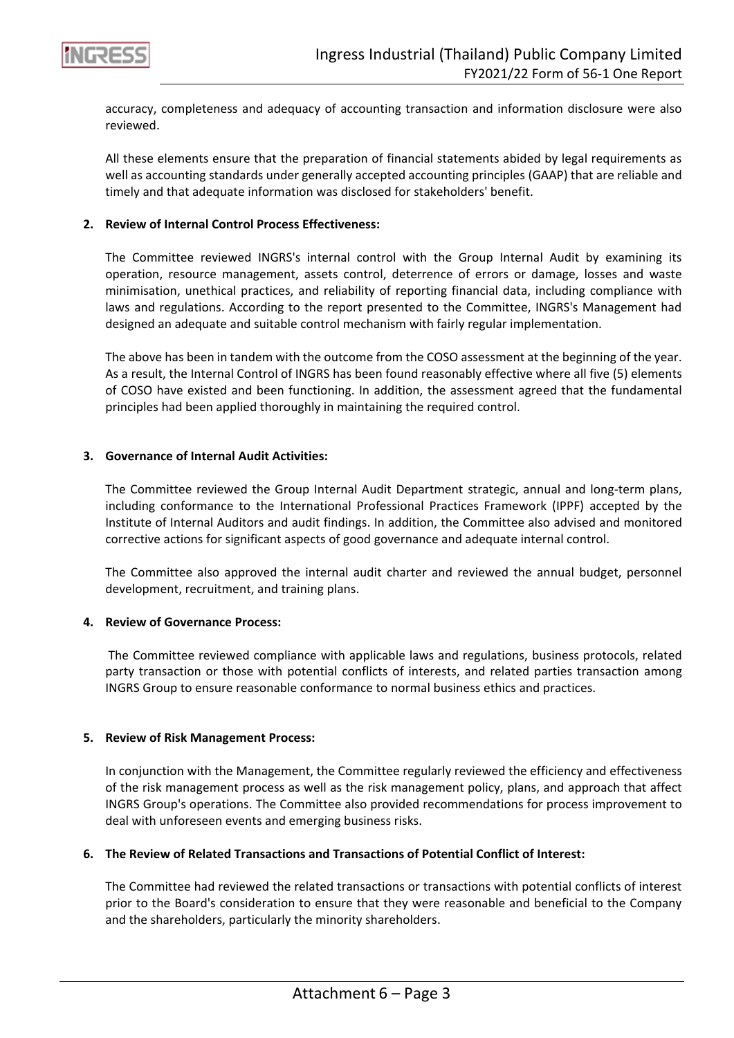

accuracy, completeness and adequacy of accounting transaction and information disclosure were also reviewed.

All these elements ensure that the preparation of financial statements abided by legal requirements as well as accounting standards under generally accepted accounting principles (GAAP) that are reliable and timely and that adequate information was disclosed for stakeholders' benefit.

### **2. Review of Internal Control Process Effectiveness:**

The Committee reviewed INGRS's internal control with the Group Internal Audit by examining its operation, resource management, assets control, deterrence of errors or damage, losses and waste minimisation, unethical practices, and reliability of reporting financial data, including compliance with laws and regulations. According to the report presented to the Committee, INGRS's Management had designed an adequate and suitable control mechanism with fairly regular implementation.

The above has been in tandem with the outcome from the COSO assessment at the beginning of the year. As a result, the Internal Control of INGRS has been found reasonably effective where all five (5) elements of COSO have existed and been functioning. In addition, the assessment agreed that the fundamental principles had been applied thoroughly in maintaining the required control.

#### **3. Governance of Internal Audit Activities:**

The Committee reviewed the Group Internal Audit Department strategic, annual and long-term plans, including conformance to the International Professional Practices Framework (IPPF) accepted by the Institute of Internal Auditors and audit findings. In addition, the Committee also advised and monitored corrective actions for significant aspects of good governance and adequate internal control.

The Committee also approved the internal audit charter and reviewed the annual budget, personnel development, recruitment, and training plans.

#### **4. Review of Governance Process:**

The Committee reviewed compliance with applicable laws and regulations, business protocols, related party transaction or those with potential conflicts of interests, and related parties transaction among INGRS Group to ensure reasonable conformance to normal business ethics and practices.

#### **5. Review of Risk Management Process:**

In conjunction with the Management, the Committee regularly reviewed the efficiency and effectiveness of the risk management process as well as the risk management policy, plans, and approach that affect INGRS Group's operations. The Committee also provided recommendations for process improvement to deal with unforeseen events and emerging business risks.

#### **6. The Review of Related Transactions and Transactions of Potential Conflict of Interest:**

The Committee had reviewed the related transactions or transactions with potential conflicts of interest prior to the Board's consideration to ensure that they were reasonable and beneficial to the Company and the shareholders, particularly the minority shareholders.